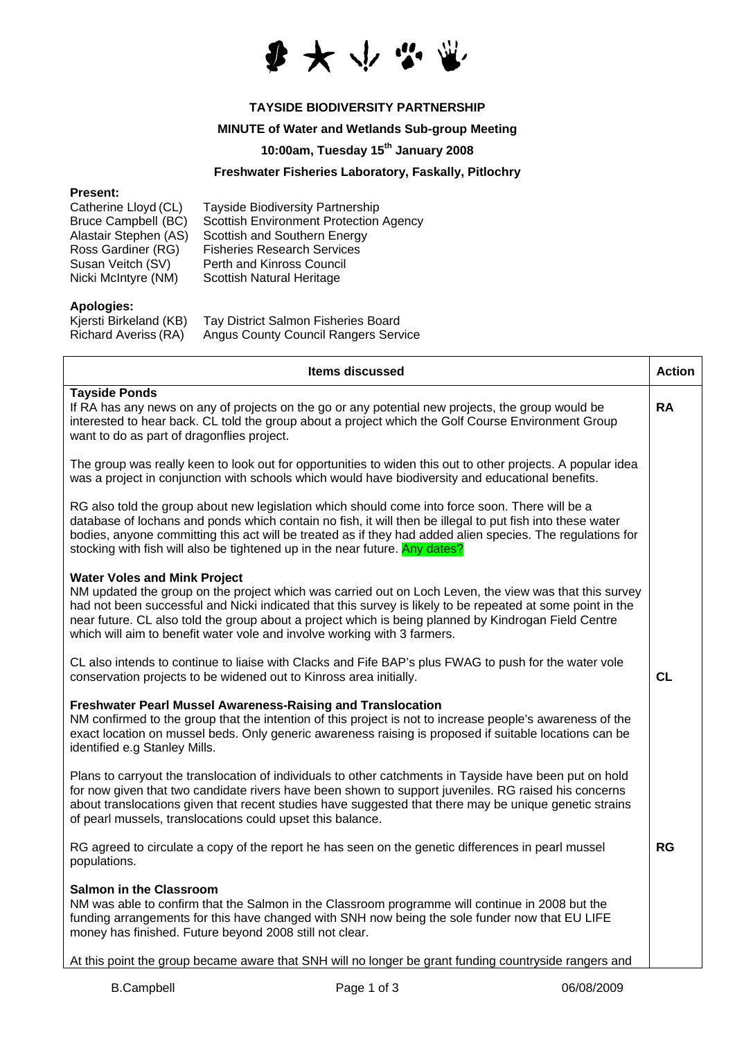

# **TAYSIDE BIODIVERSITY PARTNERSHIP**

### **MINUTE of Water and Wetlands Sub-group Meeting**

## **10:00am, Tuesday 15th January 2008**

### **Freshwater Fisheries Laboratory, Faskally, Pitlochry**

#### **Present:**

| Catherine Lloyd (CL)       | <b>Tayside Biodiversity Partnership</b>       |
|----------------------------|-----------------------------------------------|
| <b>Bruce Campbell (BC)</b> | <b>Scottish Environment Protection Agency</b> |
| Alastair Stephen (AS)      | Scottish and Southern Energy                  |
| Ross Gardiner (RG)         | <b>Fisheries Research Services</b>            |
| Susan Veitch (SV)          | Perth and Kinross Council                     |
| Nicki McIntyre (NM)        | Scottish Natural Heritage                     |

#### **Apologies:**

| Kjersti Birkeland (KB) | Tay District Salmon Fisheries Board         |
|------------------------|---------------------------------------------|
| Richard Averiss (RA)   | <b>Angus County Council Rangers Service</b> |

| <b>Items discussed</b>                                                                                                                                                                                                                                                                                                                                                                                                                          | <b>Action</b> |
|-------------------------------------------------------------------------------------------------------------------------------------------------------------------------------------------------------------------------------------------------------------------------------------------------------------------------------------------------------------------------------------------------------------------------------------------------|---------------|
| <b>Tayside Ponds</b><br>If RA has any news on any of projects on the go or any potential new projects, the group would be<br>interested to hear back. CL told the group about a project which the Golf Course Environment Group<br>want to do as part of dragonflies project.                                                                                                                                                                   | <b>RA</b>     |
| The group was really keen to look out for opportunities to widen this out to other projects. A popular idea<br>was a project in conjunction with schools which would have biodiversity and educational benefits.                                                                                                                                                                                                                                |               |
| RG also told the group about new legislation which should come into force soon. There will be a<br>database of lochans and ponds which contain no fish, it will then be illegal to put fish into these water<br>bodies, anyone committing this act will be treated as if they had added alien species. The regulations for<br>stocking with fish will also be tightened up in the near future. Any dates?                                       |               |
| <b>Water Voles and Mink Project</b><br>NM updated the group on the project which was carried out on Loch Leven, the view was that this survey<br>had not been successful and Nicki indicated that this survey is likely to be repeated at some point in the<br>near future. CL also told the group about a project which is being planned by Kindrogan Field Centre<br>which will aim to benefit water vole and involve working with 3 farmers. |               |
| CL also intends to continue to liaise with Clacks and Fife BAP's plus FWAG to push for the water vole<br>conservation projects to be widened out to Kinross area initially.                                                                                                                                                                                                                                                                     | <b>CL</b>     |
| <b>Freshwater Pearl Mussel Awareness-Raising and Translocation</b><br>NM confirmed to the group that the intention of this project is not to increase people's awareness of the<br>exact location on mussel beds. Only generic awareness raising is proposed if suitable locations can be<br>identified e.g Stanley Mills.                                                                                                                      |               |
| Plans to carryout the translocation of individuals to other catchments in Tayside have been put on hold<br>for now given that two candidate rivers have been shown to support juveniles. RG raised his concerns<br>about translocations given that recent studies have suggested that there may be unique genetic strains<br>of pearl mussels, translocations could upset this balance.                                                         |               |
| RG agreed to circulate a copy of the report he has seen on the genetic differences in pearl mussel<br>populations.                                                                                                                                                                                                                                                                                                                              | <b>RG</b>     |
| <b>Salmon in the Classroom</b><br>NM was able to confirm that the Salmon in the Classroom programme will continue in 2008 but the<br>funding arrangements for this have changed with SNH now being the sole funder now that EU LIFE<br>money has finished. Future beyond 2008 still not clear.                                                                                                                                                  |               |
| At this point the group became aware that SNH will no longer be grant funding countryside rangers and                                                                                                                                                                                                                                                                                                                                           |               |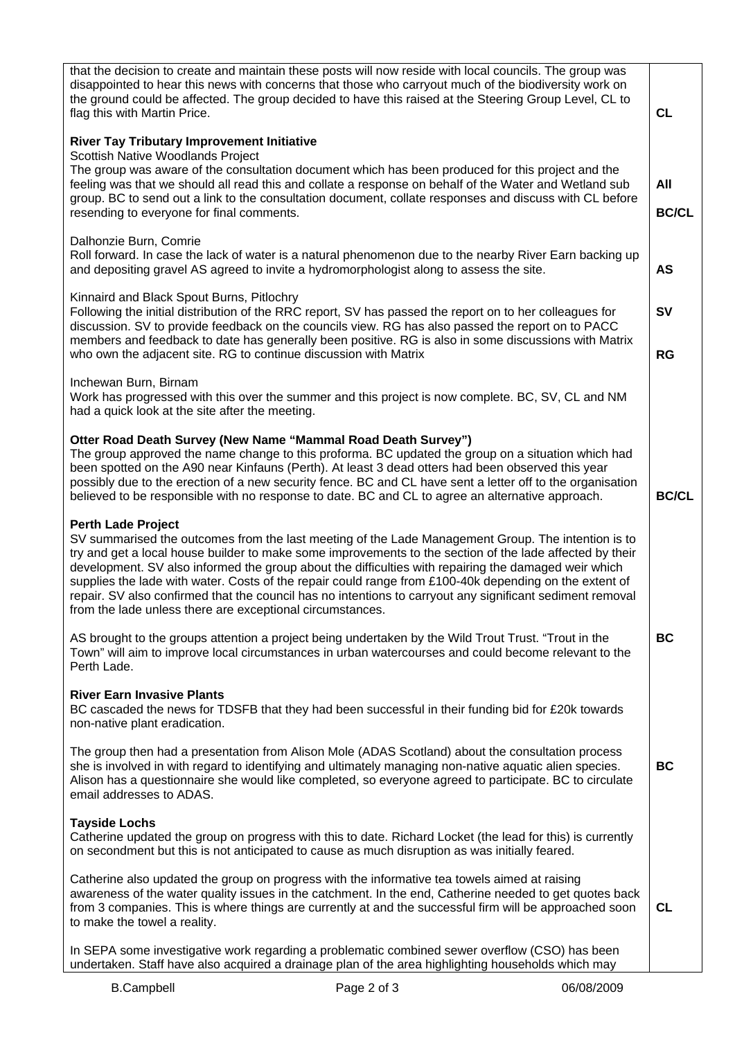| that the decision to create and maintain these posts will now reside with local councils. The group was<br>disappointed to hear this news with concerns that those who carryout much of the biodiversity work on<br>the ground could be affected. The group decided to have this raised at the Steering Group Level, CL to<br>flag this with Martin Price.                                                                                                                                                                                                                                                                              | <b>CL</b>              |
|-----------------------------------------------------------------------------------------------------------------------------------------------------------------------------------------------------------------------------------------------------------------------------------------------------------------------------------------------------------------------------------------------------------------------------------------------------------------------------------------------------------------------------------------------------------------------------------------------------------------------------------------|------------------------|
| <b>River Tay Tributary Improvement Initiative</b><br>Scottish Native Woodlands Project<br>The group was aware of the consultation document which has been produced for this project and the<br>feeling was that we should all read this and collate a response on behalf of the Water and Wetland sub<br>group. BC to send out a link to the consultation document, collate responses and discuss with CL before<br>resending to everyone for final comments.                                                                                                                                                                           | All<br><b>BC/CL</b>    |
| Dalhonzie Burn, Comrie<br>Roll forward. In case the lack of water is a natural phenomenon due to the nearby River Earn backing up<br>and depositing gravel AS agreed to invite a hydromorphologist along to assess the site.                                                                                                                                                                                                                                                                                                                                                                                                            | <b>AS</b>              |
| Kinnaird and Black Spout Burns, Pitlochry<br>Following the initial distribution of the RRC report, SV has passed the report on to her colleagues for<br>discussion. SV to provide feedback on the councils view. RG has also passed the report on to PACC<br>members and feedback to date has generally been positive. RG is also in some discussions with Matrix<br>who own the adjacent site. RG to continue discussion with Matrix                                                                                                                                                                                                   | <b>SV</b><br><b>RG</b> |
| Inchewan Burn, Birnam<br>Work has progressed with this over the summer and this project is now complete. BC, SV, CL and NM<br>had a quick look at the site after the meeting.                                                                                                                                                                                                                                                                                                                                                                                                                                                           |                        |
| Otter Road Death Survey (New Name "Mammal Road Death Survey")<br>The group approved the name change to this proforma. BC updated the group on a situation which had<br>been spotted on the A90 near Kinfauns (Perth). At least 3 dead otters had been observed this year<br>possibly due to the erection of a new security fence. BC and CL have sent a letter off to the organisation<br>believed to be responsible with no response to date. BC and CL to agree an alternative approach.                                                                                                                                              | <b>BC/CL</b>           |
| <b>Perth Lade Project</b><br>SV summarised the outcomes from the last meeting of the Lade Management Group. The intention is to<br>try and get a local house builder to make some improvements to the section of the lade affected by their<br>development. SV also informed the group about the difficulties with repairing the damaged weir which<br>supplies the lade with water. Costs of the repair could range from £100-40k depending on the extent of<br>repair. SV also confirmed that the council has no intentions to carryout any significant sediment removal<br>from the lade unless there are exceptional circumstances. |                        |
| AS brought to the groups attention a project being undertaken by the Wild Trout Trust. "Trout in the<br>Town" will aim to improve local circumstances in urban watercourses and could become relevant to the<br>Perth Lade.                                                                                                                                                                                                                                                                                                                                                                                                             | <b>BC</b>              |
| <b>River Earn Invasive Plants</b><br>BC cascaded the news for TDSFB that they had been successful in their funding bid for £20k towards<br>non-native plant eradication.                                                                                                                                                                                                                                                                                                                                                                                                                                                                |                        |
| The group then had a presentation from Alison Mole (ADAS Scotland) about the consultation process<br>she is involved in with regard to identifying and ultimately managing non-native aquatic alien species.<br>Alison has a questionnaire she would like completed, so everyone agreed to participate. BC to circulate<br>email addresses to ADAS.                                                                                                                                                                                                                                                                                     | <b>BC</b>              |
| <b>Tayside Lochs</b><br>Catherine updated the group on progress with this to date. Richard Locket (the lead for this) is currently<br>on secondment but this is not anticipated to cause as much disruption as was initially feared.                                                                                                                                                                                                                                                                                                                                                                                                    |                        |
| Catherine also updated the group on progress with the informative tea towels aimed at raising<br>awareness of the water quality issues in the catchment. In the end, Catherine needed to get quotes back<br>from 3 companies. This is where things are currently at and the successful firm will be approached soon<br>to make the towel a reality.                                                                                                                                                                                                                                                                                     | CL                     |
| In SEPA some investigative work regarding a problematic combined sewer overflow (CSO) has been<br>undertaken. Staff have also acquired a drainage plan of the area highlighting households which may                                                                                                                                                                                                                                                                                                                                                                                                                                    |                        |